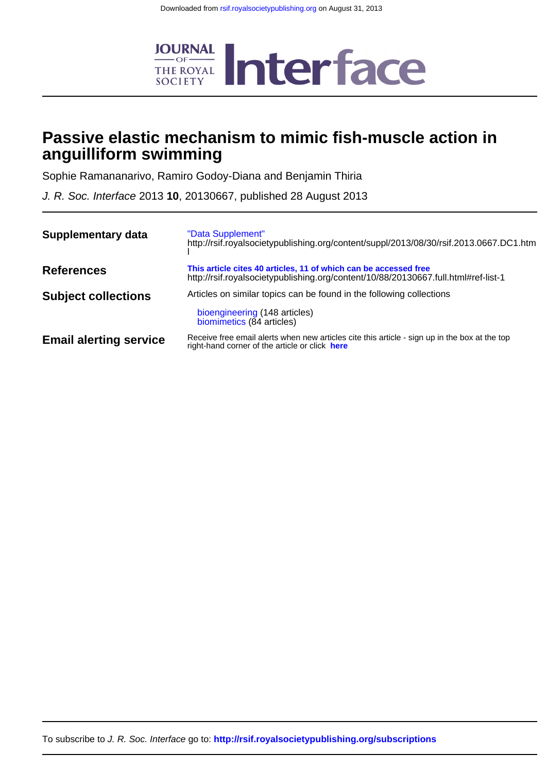

# **anguilliform swimming Passive elastic mechanism to mimic fish-muscle action in**

Sophie Ramananarivo, Ramiro Godoy-Diana and Benjamin Thiria

J. R. Soc. Interface 2013 **10**, 20130667, published 28 August 2013

| Supplementary data            | "Data Supplement"<br>http://rsif.royalsocietypublishing.org/content/suppl/2013/08/30/rsif.2013.0667.DC1.htm                                            |
|-------------------------------|--------------------------------------------------------------------------------------------------------------------------------------------------------|
| <b>References</b>             | This article cites 40 articles, 11 of which can be accessed free<br>http://rsif.royalsocietypublishing.org/content/10/88/20130667.full.html#ref-list-1 |
| <b>Subject collections</b>    | Articles on similar topics can be found in the following collections                                                                                   |
|                               | bioengineering (148 articles)<br>biomimetics (84 articles)                                                                                             |
| <b>Email alerting service</b> | Receive free email alerts when new articles cite this article - sign up in the box at the top<br>right-hand corner of the article or click here        |

To subscribe to J. R. Soc. Interface go to: **<http://rsif.royalsocietypublishing.org/subscriptions>**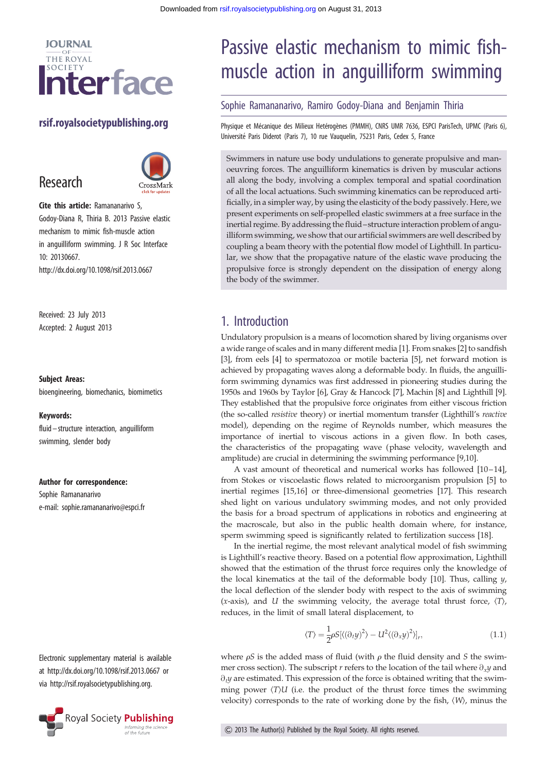

## rsif.royalsocietypublishing.org

# Research



Cite this article: Ramananarivo S, Godoy-Diana R, Thiria B. 2013 Passive elastic mechanism to mimic fish-muscle action in anguilliform swimming. J R Soc Interface 10: 20130667. http://dx.doi.org/10.1098/rsif.2013.0667

Received: 23 July 2013 Accepted: 2 August 2013

#### Subject Areas:

bioengineering, biomechanics, biomimetics

#### Keywords:

fluid - structure interaction, anguilliform swimming, slender body

#### Author for correspondence:

Sophie Ramananarivo e-mail: [sophie.ramananarivo@espci.fr](mailto:sophie.ramananarivo@espci.fr)

Electronic supplementary material is available at<http://dx.doi.org/10.1098/rsif.2013.0667> or via<http://rsif.royalsocietypublishing.org>.



# Passive elastic mechanism to mimic fishmuscle action in anguilliform swimming

#### Sophie Ramananarivo, Ramiro Godoy-Diana and Benjamin Thiria

Physique et Mécanique des Milieux Hetérogènes (PMMH), CNRS UMR 7636, ESPCI ParisTech, UPMC (Paris 6), Université Paris Diderot (Paris 7), 10 rue Vauquelin, 75231 Paris, Cedex 5, France

Swimmers in nature use body undulations to generate propulsive and manoeuvring forces. The anguilliform kinematics is driven by muscular actions all along the body, involving a complex temporal and spatial coordination of all the local actuations. Such swimming kinematics can be reproduced artificially, in a simpler way, by using the elasticity of the body passively. Here, we present experiments on self-propelled elastic swimmers at a free surface in the inertial regime. By addressing the fluid–structure interaction problem of anguilliform swimming, we show that our artificial swimmers are well described by coupling a beam theory with the potential flow model of Lighthill. In particular, we show that the propagative nature of the elastic wave producing the propulsive force is strongly dependent on the dissipation of energy along the body of the swimmer.

# 1. Introduction

Undulatory propulsion is a means of locomotion shared by living organisms over a wide range of scales and in many different media [\[1](#page-7-0)]. From snakes [[2](#page-7-0)] to sandfish [[3](#page-7-0)], from eels [[4](#page-7-0)] to spermatozoa or motile bacteria [[5\]](#page-7-0), net forward motion is achieved by propagating waves along a deformable body. In fluids, the anguilliform swimming dynamics was first addressed in pioneering studies during the 1950s and 1960s by Taylor [[6](#page-7-0)], Gray & Hancock [\[7\]](#page-7-0), Machin [[8](#page-7-0)] and Lighthill [\[9\]](#page-7-0). They established that the propulsive force originates from either viscous friction (the so-called resistive theory) or inertial momentum transfer (Lighthill's reactive model), depending on the regime of Reynolds number, which measures the importance of inertial to viscous actions in a given flow. In both cases, the characteristics of the propagating wave (phase velocity, wavelength and amplitude) are crucial in determining the swimming performance [\[9,10\]](#page-7-0).

A vast amount of theoretical and numerical works has followed [\[10](#page-7-0)–[14\]](#page-7-0), from Stokes or viscoelastic flows related to microorganism propulsion [[5](#page-7-0)] to inertial regimes [\[15,16](#page-7-0)] or three-dimensional geometries [[17\]](#page-7-0). This research shed light on various undulatory swimming modes, and not only provided the basis for a broad spectrum of applications in robotics and engineering at the macroscale, but also in the public health domain where, for instance, sperm swimming speed is significantly related to fertilization success [[18\]](#page-8-0).

In the inertial regime, the most relevant analytical model of fish swimming is Lighthill's reactive theory. Based on a potential flow approximation, Lighthill showed that the estimation of the thrust force requires only the knowledge of the local kinematics at the tail of the deformable body [\[10](#page-7-0)]. Thus, calling  $y$ , the local deflection of the slender body with respect to the axis of swimming (x-axis), and U the swimming velocity, the average total thrust force,  $\langle T \rangle$ , reduces, in the limit of small lateral displacement, to

$$
\langle T \rangle = \frac{1}{2} \rho S [\langle (\partial_t y)^2 \rangle - U^2 \langle (\partial_x y)^2 \rangle]_r, \tag{1.1}
$$

where  $\rho S$  is the added mass of fluid (with  $\rho$  the fluid density and S the swimmer cross section). The subscript r refers to the location of the tail where  $\partial_{x} y$  and  $\partial_t$ y are estimated. This expression of the force is obtained writing that the swimming power  $\langle T \rangle U$  (i.e. the product of the thrust force times the swimming velocity) corresponds to the rate of working done by the fish,  $\langle W \rangle$ , minus the

<sup>&</sup>amp; 2013 The Author(s) Published by the Royal Society. All rights reserved.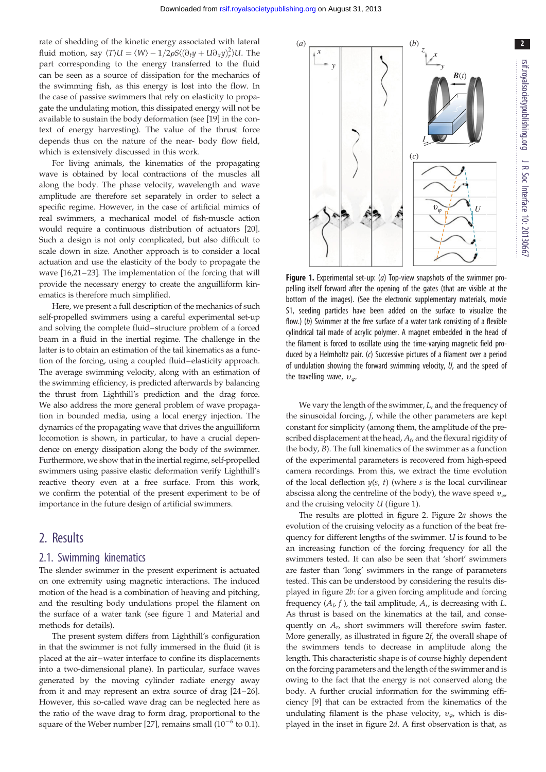<span id="page-2-0"></span>rate of shedding of the kinetic energy associated with lateral fluid motion, say  $\langle T \rangle U = \langle W \rangle - 1/2\rho S \langle (\partial_t y + U \partial_x y)_r^2 \rangle U$ . The part corresponding to the energy transferred to the fluid can be seen as a source of dissipation for the mechanics of the swimming fish, as this energy is lost into the flow. In the case of passive swimmers that rely on elasticity to propagate the undulating motion, this dissipated energy will not be available to sustain the body deformation (see [[19\]](#page-8-0) in the context of energy harvesting). The value of the thrust force depends thus on the nature of the near- body flow field, which is extensively discussed in this work.

For living animals, the kinematics of the propagating wave is obtained by local contractions of the muscles all along the body. The phase velocity, wavelength and wave amplitude are therefore set separately in order to select a specific regime. However, in the case of artificial mimics of real swimmers, a mechanical model of fish-muscle action would require a continuous distribution of actuators [\[20](#page-8-0)]. Such a design is not only complicated, but also difficult to scale down in size. Another approach is to consider a local actuation and use the elasticity of the body to propagate the wave [[16](#page-7-0)[,21](#page-8-0)–[23](#page-8-0)]. The implementation of the forcing that will provide the necessary energy to create the anguilliform kinematics is therefore much simplified.

Here, we present a full description of the mechanics of such self-propelled swimmers using a careful experimental set-up and solving the complete fluid–structure problem of a forced beam in a fluid in the inertial regime. The challenge in the latter is to obtain an estimation of the tail kinematics as a function of the forcing, using a coupled fluid–elasticity approach. The average swimming velocity, along with an estimation of the swimming efficiency, is predicted afterwards by balancing the thrust from Lighthill's prediction and the drag force. We also address the more general problem of wave propagation in bounded media, using a local energy injection. The dynamics of the propagating wave that drives the anguilliform locomotion is shown, in particular, to have a crucial dependence on energy dissipation along the body of the swimmer. Furthermore, we show that in the inertial regime, self-propelled swimmers using passive elastic deformation verify Lighthill's reactive theory even at a free surface. From this work, we confirm the potential of the present experiment to be of importance in the future design of artificial swimmers.

# 2. Results

#### 2.1. Swimming kinematics

The slender swimmer in the present experiment is actuated on one extremity using magnetic interactions. The induced motion of the head is a combination of heaving and pitching, and the resulting body undulations propel the filament on the surface of a water tank (see figure 1 and Material and methods for details).

The present system differs from Lighthill's configuration in that the swimmer is not fully immersed in the fluid (it is placed at the air –water interface to confine its displacements into a two-dimensional plane). In particular, surface waves generated by the moving cylinder radiate energy away from it and may represent an extra source of drag [[24](#page-8-0)–[26](#page-8-0)]. However, this so-called wave drag can be neglected here as the ratio of the wave drag to form drag, proportional to the square of the Weber number [[27\]](#page-8-0), remains small (10<sup>-6</sup> to 0.1).



**Figure 1.** Experimental set-up: (*a*) Top-view snapshots of the swimmer propelling itself forward after the opening of the gates (that are visible at the bottom of the images). (See the electronic supplementary materials, movie S1, seeding particles have been added on the surface to visualize the flow.) (b) Swimmer at the free surface of a water tank consisting of a flexible cylindrical tail made of acrylic polymer. A magnet embedded in the head of the filament is forced to oscillate using the time-varying magnetic field produced by a Helmholtz pair. (c) Successive pictures of a filament over a period of undulation showing the forward swimming velocity,  $U$ , and the speed of the travelling wave,  $v_{\varphi}$ .

We vary the length of the swimmer, L, and the frequency of the sinusoidal forcing, f, while the other parameters are kept constant for simplicity (among them, the amplitude of the prescribed displacement at the head,  $A_f$ , and the flexural rigidity of the body, B). The full kinematics of the swimmer as a function of the experimental parameters is recovered from high-speed camera recordings. From this, we extract the time evolution of the local deflection  $y(s, t)$  (where s is the local curvilinear abscissa along the centreline of the body), the wave speed  $v_{\varphi}$ and the cruising velocity U (figure 1).

The results are plotted in [figure 2.](#page-3-0) Figure [2](#page-3-0)a shows the evolution of the cruising velocity as a function of the beat frequency for different lengths of the swimmer. U is found to be an increasing function of the forcing frequency for all the swimmers tested. It can also be seen that 'short' swimmers are faster than 'long' swimmers in the range of parameters tested. This can be understood by considering the results displayed in [figure 2](#page-3-0)b: for a given forcing amplitude and forcing frequency  $(A_t, f)$ , the tail amplitude,  $A_r$ , is decreasing with L. As thrust is based on the kinematics at the tail, and consequently on  $A_{rr}$  short swimmers will therefore swim faster. More generally, as illustrated in [figure 2](#page-3-0)f, the overall shape of the swimmers tends to decrease in amplitude along the length. This characteristic shape is of course highly dependent on the forcing parameters and the length of the swimmer and is owing to the fact that the energy is not conserved along the body. A further crucial information for the swimming efficiency [\[9\]](#page-7-0) that can be extracted from the kinematics of the undulating filament is the phase velocity,  $v_{\varphi}$ , which is displayed in the inset in [figure 2](#page-3-0)d. A first observation is that, as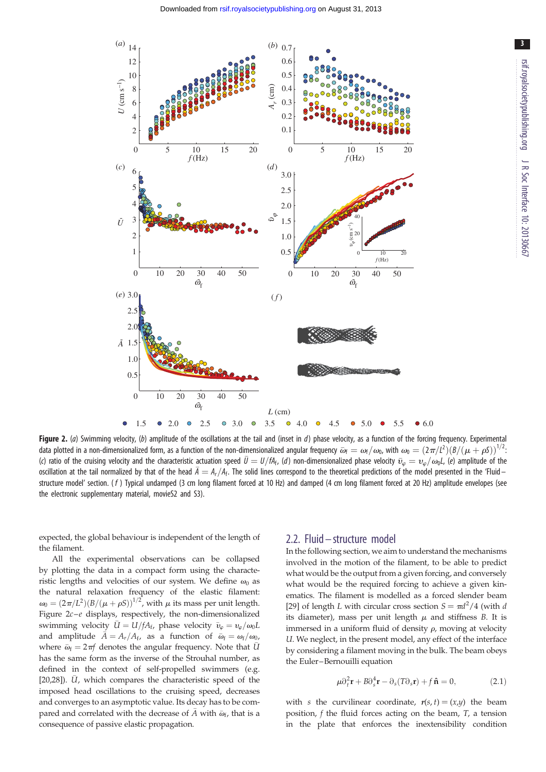<span id="page-3-0"></span>

Figure 2. (a) Swimming velocity, (b) amplitude of the oscillations at the tail and (inset in d) phase velocity, as a function of the forcing frequency. Experimental data plotted in a non-dimensionalized form, as a function of the non-dimensionalized angular frequency  $\bar{\omega}_\text{f}=\omega_\text{f}/\omega_0$ , with  $\omega_0=(2\pi/l^2)(B/(\mu+\rho S))^{1/2}$ : (c) ratio of the cruising velocity and the characteristic actuation speed  $\bar{U}=U/fA_{f}$ , (d) non-dimensionalized phase velocity  $\bar{v}_{\varphi}=v_{\varphi}/\omega_{0}$  (e) amplitude of the oscillation at the tail normalized by that of the head  $\bar{A}=A_r/A_{\rm f}$ . The solid lines correspond to the theoretical predictions of the model presented in the 'Fluid – structure model' section. ( f ) Typical undamped (3 cm long filament forced at 10 Hz) and damped (4 cm long filament forced at 20 Hz) amplitude envelopes (see the electronic supplementary material, movieS2 and S3).

expected, the global behaviour is independent of the length of the filament.

All the experimental observations can be collapsed by plotting the data in a compact form using the characteristic lengths and velocities of our system. We define  $\omega_0$  as the natural relaxation frequency of the elastic filament:  $\omega_0=(2\pi/L^2)(B/(\mu+\rho S))^{1/2}$ , with  $\mu$  its mass per unit length. Figure  $2c-e$  displays, respectively, the non-dimensionalized swimming velocity  $\bar{U} = U/fA_f$ , phase velocity  $\bar{v}_{\varphi} = v_{\varphi}/\omega_0 L$ and amplitude  $\bar{A} = A_r/A_f$ , as a function of  $\bar{\omega}_f = \omega_f/\omega_0$ , where  $\bar{\omega}_{\rm f} = 2\pi f$  denotes the angular frequency. Note that  $\bar{U}$ has the same form as the inverse of the Strouhal number, as defined in the context of self-propelled swimmers (e.g. [\[20,28](#page-8-0)]).  $\overline{U}$ , which compares the characteristic speed of the imposed head oscillations to the cruising speed, decreases and converges to an asymptotic value. Its decay has to be compared and correlated with the decrease of  $\bar{A}$  with  $\bar{\omega}_{\text{f}}$ , that is a consequence of passive elastic propagation.

#### 2.2. Fluid – structure model

In the following section, we aim to understand the mechanisms involved in the motion of the filament, to be able to predict what would be the output from a given forcing, and conversely what would be the required forcing to achieve a given kinematics. The filament is modelled as a forced slender beam [[29\]](#page-8-0) of length *L* with circular cross section  $S = \pi d^2/4$  (with *d* its diameter), mass per unit length  $\mu$  and stiffness B. It is immersed in a uniform fluid of density  $\rho$ , moving at velocity U. We neglect, in the present model, any effect of the interface by considering a filament moving in the bulk. The beam obeys the Euler –Bernouilli equation

$$
\mu \partial_t^2 \mathbf{r} + B \partial_s^4 \mathbf{r} - \partial_s (T \partial_s \mathbf{r}) + f \,\hat{\mathbf{n}} = 0,\tag{2.1}
$$

with s the curvilinear coordinate,  $r(s, t) = (x,y)$  the beam position,  $f$  the fluid forces acting on the beam,  $T$ , a tension in the plate that enforces the inextensibility condition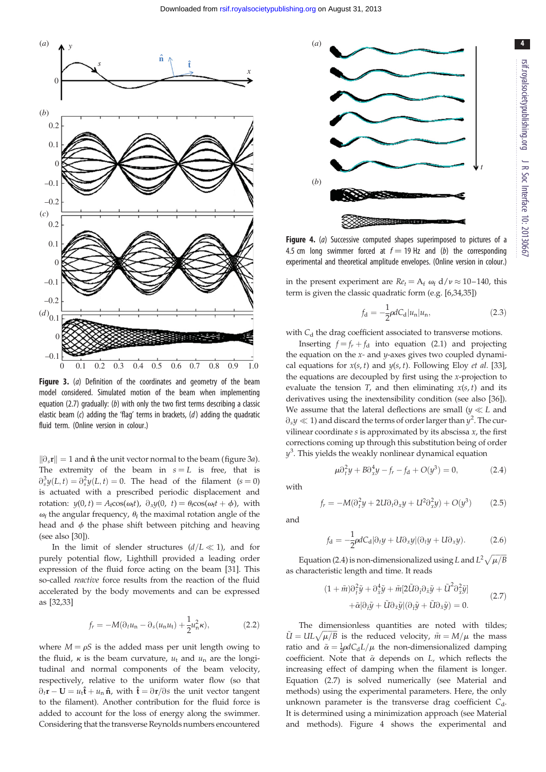4

<span id="page-4-0"></span>

**Figure 3.** (a) Definition of the coordinates and geometry of the beam model considered. Simulated motion of the beam when implementing equation (2.7) gradually: (b) with only the two first terms describing a classic elastic beam (c) adding the 'flag' terms in brackets, (d) adding the quadratic fluid term. (Online version in colour.)

 $\|\partial_s \mathbf{r}\| = 1$  and  $\hat{\mathbf{n}}$  the unit vector normal to the beam (figure 3*a*). The extremity of the beam in  $s = L$  is free, that is  $\partial_s^3 y(L,t) = \partial_s^2 y(L,t) = 0$ . The head of the filament (s = 0) is actuated with a prescribed periodic displacement and rotation:  $y(0, t) = A_f \cos(\omega_f t), \ \partial_x y(0, t) = \theta_f \cos(\omega_f t + \phi)$ , with  $\omega_f$  the angular frequency,  $\theta_f$  the maximal rotation angle of the head and  $\phi$  the phase shift between pitching and heaving (see also [[30\]](#page-8-0)).

In the limit of slender structures  $(d/L \ll 1)$ , and for purely potential flow, Lighthill provided a leading order expression of the fluid force acting on the beam [\[31](#page-8-0)]. This so-called reactive force results from the reaction of the fluid accelerated by the body movements and can be expressed as [[32,33\]](#page-8-0)

$$
f_r = -M(\partial_t u_n - \partial_s(u_n u_t) + \frac{1}{2}u_n^2 \kappa), \qquad (2.2)
$$

where  $M = \rho S$  is the added mass per unit length owing to the fluid,  $\kappa$  is the beam curvature,  $u_t$  and  $u_n$  are the longitudinal and normal components of the beam velocity, respectively, relative to the uniform water flow (so that  $\partial_t \mathbf{r} - \mathbf{U} = u_t \hat{\mathbf{t}} + u_n \hat{\mathbf{n}}$ , with  $\hat{\mathbf{t}} = \partial \mathbf{r}/\partial s$  the unit vector tangent to the filament). Another contribution for the fluid force is added to account for the loss of energy along the swimmer. Considering that the transverse Reynolds numbers encountered



**Figure 4.** (a) Successive computed shapes superimposed to pictures of a 4.5 cm long swimmer forced at  $f = 19$  Hz and (b) the corresponding experimental and theoretical amplitude envelopes. (Online version in colour.)

in the present experiment are  $Re_t = A_f \omega_f d/v \approx 10-140$ , this term is given the classic quadratic form (e.g. [[6](#page-7-0)[,34,35](#page-8-0)])

$$
f_{\rm d} = -\frac{1}{2}\rho dC_{\rm d}|u_{\rm n}|u_{\rm n},\tag{2.3}
$$

with  $C_d$  the drag coefficient associated to transverse motions.

Inserting  $f = f_r + f_d$  into equation (2.1) and projecting the equation on the  $x$ - and  $y$ -axes gives two coupled dynamical equations for  $x(s, t)$  and  $y(s, t)$ . Following Eloy et al. [[33\]](#page-8-0), the equations are decoupled by first using the x-projection to evaluate the tension  $T$ , and then eliminating  $x(s, t)$  and its derivatives using the inextensibility condition (see also [[36\]](#page-8-0)). We assume that the lateral deflections are small  $(y \ll L)$  and  $\partial_s y \ll 1$ ) and discard the terms of order larger than  $y^2$ . The curvilinear coordinate  $s$  is approximated by its abscissa  $x$ , the first corrections coming up through this substitution being of order  $y^3$ . This yields the weakly nonlinear dynamical equation

with

and

$$
f_r = -M(\partial_t^2 y + 2U\partial_t \partial_x y + U^2 \partial_x^2 y) + O(y^3)
$$
 (2.5)

 $\mu \partial_t^2 y + B \partial_x^4 y - f_r - f_d + O(y^3) = 0,$  (2.4)

$$
f_{\rm d} = -\frac{1}{2}\rho dC_{\rm d}|\partial_t y + U\partial_x y|(\partial_t y + U\partial_x y). \tag{2.6}
$$

Equation (2.4) is non-dimensionalized using L and  $L^2 \sqrt{\mu/B}$ as characteristic length and time. It reads

$$
(1 + \tilde{m})\partial_{\tilde{t}}^2 \tilde{y} + \partial_{\tilde{x}}^4 \tilde{y} + \tilde{m}[2\tilde{U}\partial_{\tilde{t}}\partial_{\tilde{x}}\tilde{y} + \tilde{U}^2 \partial_{\tilde{x}}^2 \tilde{y}] + \tilde{\alpha}|\partial_{\tilde{t}}\tilde{y} + \tilde{U}\partial_{\tilde{x}}\tilde{y}|(\partial_{\tilde{t}}\tilde{y} + \tilde{U}\partial_{\tilde{x}}\tilde{y}) = 0.
$$
 (2.7)

The dimensionless quantities are noted with tildes;  $\tilde{U} = UL\sqrt{\mu/B}$  is the reduced velocity,  $\tilde{m} = M/\mu$  the mass ratio and  $\tilde{\alpha} = \frac{1}{2} \rho d C_d L / \mu$  the non-dimensionalized damping coefficient. Note that  $\tilde{\alpha}$  depends on L, which reflects the increasing effect of damping when the filament is longer. Equation (2.7) is solved numerically (see Material and methods) using the experimental parameters. Here, the only unknown parameter is the transverse drag coefficient  $C_d$ . It is determined using a minimization approach (see Material and methods). Figure 4 shows the experimental and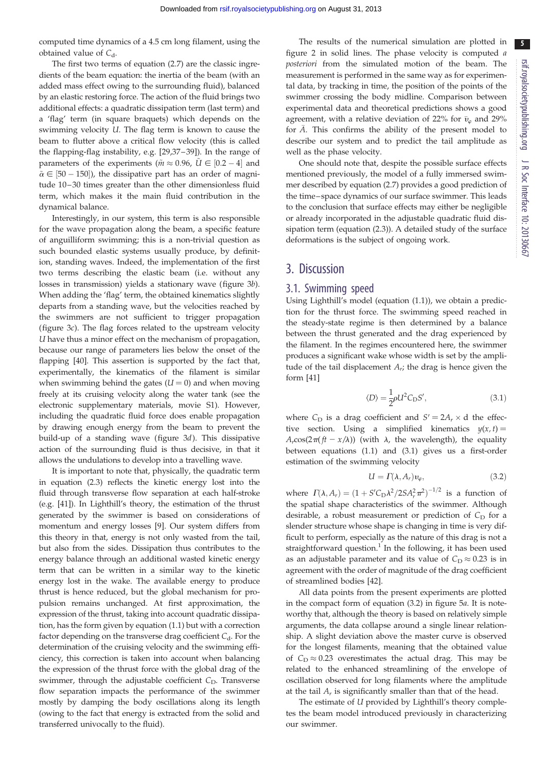computed time dynamics of a 4.5 cm long filament, using the obtained value of  $C_d$ .

The first two terms of equation (2.7) are the classic ingredients of the beam equation: the inertia of the beam (with an added mass effect owing to the surrounding fluid), balanced by an elastic restoring force. The action of the fluid brings two additional effects: a quadratic dissipation term (last term) and a 'flag' term (in square braquets) which depends on the swimming velocity U. The flag term is known to cause the beam to flutter above a critical flow velocity (this is called the flapping-flag instability, e.g. [[29,37](#page-8-0)–[39](#page-8-0)]). In the range of parameters of the experiments ( $\tilde{m} \approx 0.96$ ,  $\tilde{U} \in [0.2 - 4]$  and  $\tilde{\alpha} \in [50 - 150]$ ), the dissipative part has an order of magnitude 10-30 times greater than the other dimensionless fluid term, which makes it the main fluid contribution in the dynamical balance.

Interestingly, in our system, this term is also responsible for the wave propagation along the beam, a specific feature of anguilliform swimming; this is a non-trivial question as such bounded elastic systems usually produce, by definition, standing waves. Indeed, the implementation of the first two terms describing the elastic beam (i.e. without any losses in transmission) yields a stationary wave [\(figure 3](#page-4-0)b). When adding the 'flag' term, the obtained kinematics slightly departs from a standing wave, but the velocities reached by the swimmers are not sufficient to trigger propagation (figure  $3c$ ). The flag forces related to the upstream velocity U have thus a minor effect on the mechanism of propagation, because our range of parameters lies below the onset of the flapping [[40\]](#page-8-0). This assertion is supported by the fact that, experimentally, the kinematics of the filament is similar when swimming behind the gates  $(U = 0)$  and when moving freely at its cruising velocity along the water tank (see the electronic supplementary materials, movie S1). However, including the quadratic fluid force does enable propagation by drawing enough energy from the beam to prevent the build-up of a standing wave (figure  $3d$ ). This dissipative action of the surrounding fluid is thus decisive, in that it allows the undulations to develop into a travelling wave.

It is important to note that, physically, the quadratic term in equation (2.3) reflects the kinetic energy lost into the fluid through transverse flow separation at each half-stroke (e.g. [[41](#page-8-0)]). In Lighthill's theory, the estimation of the thrust generated by the swimmer is based on considerations of momentum and energy losses [[9](#page-7-0)]. Our system differs from this theory in that, energy is not only wasted from the tail, but also from the sides. Dissipation thus contributes to the energy balance through an additional wasted kinetic energy term that can be written in a similar way to the kinetic energy lost in the wake. The available energy to produce thrust is hence reduced, but the global mechanism for propulsion remains unchanged. At first approximation, the expression of the thrust, taking into account quadratic dissipation, has the form given by equation (1.1) but with a correction factor depending on the transverse drag coefficient  $C_d$ . For the determination of the cruising velocity and the swimming efficiency, this correction is taken into account when balancing the expression of the thrust force with the global drag of the swimmer, through the adjustable coefficient  $C<sub>D</sub>$ . Transverse flow separation impacts the performance of the swimmer mostly by damping the body oscillations along its length (owing to the fact that energy is extracted from the solid and transferred univocally to the fluid).

The results of the numerical simulation are plotted in [figure 2](#page-3-0) in solid lines. The phase velocity is computed a posteriori from the simulated motion of the beam. The measurement is performed in the same way as for experimental data, by tracking in time, the position of the points of the swimmer crossing the body midline. Comparison between experimental data and theoretical predictions shows a good agreement, with a relative deviation of 22% for  $\bar{v}_{\varphi}$  and 29% for  $\bar{A}$ . This confirms the ability of the present model to describe our system and to predict the tail amplitude as well as the phase velocity.

One should note that, despite the possible surface effects mentioned previously, the model of a fully immersed swimmer described by equation (2.7) provides a good prediction of the time– space dynamics of our surface swimmer. This leads to the conclusion that surface effects may either be negligible or already incorporated in the adjustable quadratic fluid dissipation term (equation (2.3)). A detailed study of the surface deformations is the subject of ongoing work.

#### 3. Discussion

#### 3.1. Swimming speed

Using Lighthill's model (equation (1.1)), we obtain a prediction for the thrust force. The swimming speed reached in the steady-state regime is then determined by a balance between the thrust generated and the drag experienced by the filament. In the regimes encountered here, the swimmer produces a significant wake whose width is set by the amplitude of the tail displacement  $A_{ri}$ ; the drag is hence given the form [[41\]](#page-8-0)

$$
\langle D \rangle = \frac{1}{2} \rho U^2 C_{\rm D} S',\tag{3.1}
$$

where  $C_D$  is a drag coefficient and  $S' = 2A_r \times d$  the effective section. Using a simplified kinematics  $y(x, t) =$  $A<sub>r</sub>cos(2\pi (t - x/\lambda))$  (with  $\lambda$ , the wavelength), the equality between equations (1.1) and (3.1) gives us a first-order estimation of the swimming velocity

$$
U = \Gamma(\lambda, A_r) v_\varphi, \tag{3.2}
$$

where  $\Gamma(\lambda, A_r) = (1 + S' C_D \lambda^2 / 2SA_r^2 \pi^2)^{-1/2}$  is a function of the spatial shape characteristics of the swimmer. Although desirable, a robust measurement or prediction of  $C_D$  for a slender structure whose shape is changing in time is very difficult to perform, especially as the nature of this drag is not a straightforward question.<sup>1</sup> In the following, it has been used as an adjustable parameter and its value of  $C_D \approx 0.23$  is in agreement with the order of magnitude of the drag coefficient of streamlined bodies [\[42](#page-8-0)].

All data points from the present experiments are plotted in the compact form of equation (3.2) in [figure 5](#page-6-0)a. It is noteworthy that, although the theory is based on relatively simple arguments, the data collapse around a single linear relationship. A slight deviation above the master curve is observed for the longest filaments, meaning that the obtained value of  $C_D \approx 0.23$  overestimates the actual drag. This may be related to the enhanced streamlining of the envelope of oscillation observed for long filaments where the amplitude at the tail  $A_r$  is significantly smaller than that of the head.

The estimate of U provided by Lighthill's theory completes the beam model introduced previously in characterizing our swimmer.

5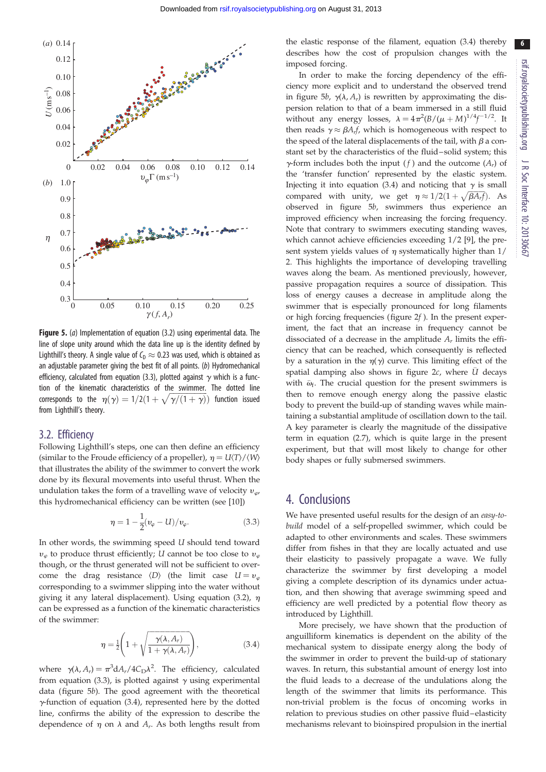<span id="page-6-0"></span>

**Figure 5.** (a) Implementation of equation (3.2) using experimental data. The line of slope unity around which the data line up is the identity defined by Lighthill's theory. A single value of  $C_D \approx 0.23$  was used, which is obtained as an adjustable parameter giving the best fit of all points.  $(b)$  Hydromechanical efficiency, calculated from equation (3.3), plotted against  $\gamma$  which is a function of the kinematic characteristics of the swimmer. The dotted line corresponds to the  $\eta(\gamma) = 1/2(1 + \sqrt{\gamma/(1 + \gamma)})$  function issued from Lighthill's theory.

#### 3.2. Efficiency

Following Lighthill's steps, one can then define an efficiency (similar to the Froude efficiency of a propeller),  $\eta = U\langle T\rangle/\langle W\rangle$ that illustrates the ability of the swimmer to convert the work done by its flexural movements into useful thrust. When the undulation takes the form of a travelling wave of velocity  $v_{\varphi}$ this hydromechanical efficiency can be written (see [\[10](#page-7-0)])

$$
\eta = 1 - \frac{1}{2} (v_{\varphi} - U) / v_{\varphi}.
$$
 (3.3)

In other words, the swimming speed U should tend toward  $v_{\varphi}$  to produce thrust efficiently; U cannot be too close to  $v_{\varphi}$ though, or the thrust generated will not be sufficient to overcome the drag resistance  $\langle D \rangle$  (the limit case  $U = v_{\varphi}$ corresponding to a swimmer slipping into the water without giving it any lateral displacement). Using equation (3.2),  $\eta$ can be expressed as a function of the kinematic characteristics of the swimmer:

$$
\eta = \frac{1}{2} \left( 1 + \sqrt{\frac{\gamma(\lambda, A_r)}{1 + \gamma(\lambda, A_r)}} \right),\tag{3.4}
$$

where  $\gamma(\lambda, A_r) = \pi^3 dA_r / 4C_D \lambda^2$ . The efficiency, calculated from equation (3.3), is plotted against  $\gamma$  using experimental data (figure 5b). The good agreement with the theoretical  $\gamma$ -function of equation (3.4), represented here by the dotted line, confirms the ability of the expression to describe the dependence of  $\eta$  on  $\lambda$  and  $A_r$ . As both lengths result from the elastic response of the filament, equation (3.4) thereby describes how the cost of propulsion changes with the imposed forcing.

In order to make the forcing dependency of the efficiency more explicit and to understand the observed trend in figure 5b,  $\gamma(\lambda, A_r)$  is rewritten by approximating the dispersion relation to that of a beam immersed in a still fluid without any energy losses,  $\lambda = 4\pi^2 (B/(\mu + M)^{1/4} f^{-1/2})$ . It then reads  $\gamma \approx \beta A_r f$ , which is homogeneous with respect to the speed of the lateral displacements of the tail, with  $\beta$  a constant set by the characteristics of the fluid–solid system; this  $\gamma$ -form includes both the input (*f*) and the outcome (*A*<sub>r</sub>) of the 'transfer function' represented by the elastic system. Injecting it into equation (3.4) and noticing that  $\gamma$  is small compared with unity, we get  $\eta \approx 1/2(1+\sqrt{\beta A_{rf}})$ . As observed in figure 5b, swimmers thus experience an improved efficiency when increasing the forcing frequency. Note that contrary to swimmers executing standing waves, which cannot achieve efficiencies exceeding  $1/2$  [\[9\]](#page-7-0), the present system yields values of  $\eta$  systematically higher than  $1/$ 2. This highlights the importance of developing travelling waves along the beam. As mentioned previously, however, passive propagation requires a source of dissipation. This loss of energy causes a decrease in amplitude along the swimmer that is especially pronounced for long filaments or high forcing frequencies (figure  $2f$ ). In the present experiment, the fact that an increase in frequency cannot be dissociated of a decrease in the amplitude  $A_r$  limits the efficiency that can be reached, which consequently is reflected by a saturation in the  $\eta(\gamma)$  curve. This limiting effect of the spatial damping also shows in figure  $2c$ , where  $\overline{U}$  decays with  $\bar{\omega}_{\text{f}}$ . The crucial question for the present swimmers is then to remove enough energy along the passive elastic body to prevent the build-up of standing waves while maintaining a substantial amplitude of oscillation down to the tail. A key parameter is clearly the magnitude of the dissipative term in equation (2.7), which is quite large in the present experiment, but that will most likely to change for other body shapes or fully submersed swimmers.

### 4. Conclusions

We have presented useful results for the design of an easy-tobuild model of a self-propelled swimmer, which could be adapted to other environments and scales. These swimmers differ from fishes in that they are locally actuated and use their elasticity to passively propagate a wave. We fully characterize the swimmer by first developing a model giving a complete description of its dynamics under actuation, and then showing that average swimming speed and efficiency are well predicted by a potential flow theory as introduced by Lighthill.

More precisely, we have shown that the production of anguilliform kinematics is dependent on the ability of the mechanical system to dissipate energy along the body of the swimmer in order to prevent the build-up of stationary waves. In return, this substantial amount of energy lost into the fluid leads to a decrease of the undulations along the length of the swimmer that limits its performance. This non-trivial problem is the focus of oncoming works in relation to previous studies on other passive fluid–elasticity mechanisms relevant to bioinspired propulsion in the inertial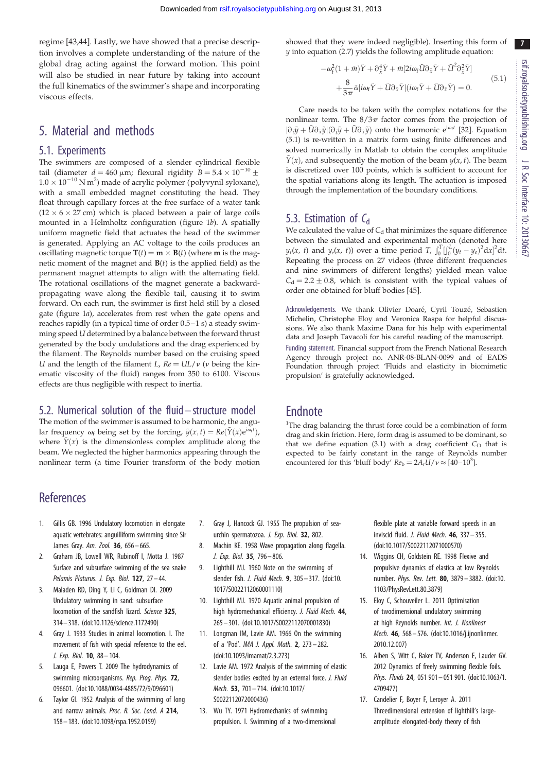<span id="page-7-0"></span>regime [[43,44](#page-8-0)]. Lastly, we have showed that a precise description involves a complete understanding of the nature of the global drag acting against the forward motion. This point will also be studied in near future by taking into account the full kinematics of the swimmer's shape and incorporating viscous effects.

# 5. Material and methods

#### 5.1. Experiments

The swimmers are composed of a slender cylindrical flexible tail (diameter  $d = 460 \text{ }\mu\text{m}$ ; flexural rigidity  $B = 5.4 \times 10^{-10} \text{ }\pm$  $1.0 \times 10^{-10}$  N m<sup>2</sup>) made of acrylic polymer (polyvynil syloxane), with a small embedded magnet constituting the head. They float through capillary forces at the free surface of a water tank  $(12 \times 6 \times 27$  cm) which is placed between a pair of large coils mounted in a Helmholtz configuration ([figure 1](#page-2-0)b). A spatially uniform magnetic field that actuates the head of the swimmer is generated. Applying an AC voltage to the coils produces an oscillating magnetic torque  $\mathbf{T}(t) = \mathbf{m} \times \mathbf{B}(t)$  (where **m** is the magnetic moment of the magnet and  $B(t)$  is the applied field) as the permanent magnet attempts to align with the alternating field. The rotational oscillations of the magnet generate a backwardpropagating wave along the flexible tail, causing it to swim forward. On each run, the swimmer is first held still by a closed gate [\(figure 1](#page-2-0)a), accelerates from rest when the gate opens and reaches rapidly (in a typical time of order  $0.5-1$  s) a steady swimming speed U determined by a balance between the forward thrust generated by the body undulations and the drag experienced by the filament. The Reynolds number based on the cruising speed U and the length of the filament L,  $Re = UL/v$  (v being the kinematic viscosity of the fluid) ranges from 350 to 6100. Viscous effects are thus negligible with respect to inertia.

#### 5.2. Numerical solution of the fluid –structure model

The motion of the swimmer is assumed to be harmonic, the angular frequency  $\omega_f$  being set by the forcing,  $\tilde{y}(x, t) = Re(\tilde{Y}(x)e^{i\omega_f t})$ , where  $\tilde{Y}(x)$  is the dimensionless complex amplitude along the beam. We neglected the higher harmonics appearing through the nonlinear term (a time Fourier transform of the body motion showed that they were indeed negligible). Inserting this form of  $\nu$  into equation (2.7) yields the following amplitude equation:

$$
-\omega_{\tilde{f}}^2 (1 + \tilde{m}) \tilde{Y} + \partial_{\tilde{x}}^4 \tilde{Y} + \tilde{m} [2i\omega_f \tilde{U} \partial_{\tilde{x}} \tilde{Y} + \tilde{U}^2 \partial_{\tilde{x}}^2 \tilde{Y}] + \frac{8}{3\pi} \tilde{\alpha} |i\omega_f \tilde{Y} + \tilde{U} \partial_{\tilde{x}} \tilde{Y}| (i\omega_f \tilde{Y} + \tilde{U} \partial_{\tilde{x}} \tilde{Y}) = 0.
$$
\n(5.1)

Care needs to be taken with the complex notations for the nonlinear term. The  $8/3\pi$  factor comes from the projection of  $|\partial_{\tilde{t}}\tilde{y} + \tilde{U}\partial_{\tilde{x}}\tilde{y}|(\partial_{\tilde{t}}\tilde{y} + \tilde{U}\partial_{\tilde{x}}\tilde{y})$  onto the harmonic  $e^{i\omega_t t}$  [[32](#page-8-0)]. Equation (5.1) is re-written in a matrix form using finite differences and solved numerically in Matlab to obtain the complex amplitude  $\tilde{Y}(x)$ , and subsequently the motion of the beam  $y(x, t)$ . The beam is discretized over 100 points, which is sufficient to account for the spatial variations along its length. The actuation is imposed through the implementation of the boundary conditions.

## 5.3. Estimation of  $C_{d}$

We calculated the value of  $C_d$  that minimizes the square difference between the simulated and experimental motion (denoted here  $y_t(x, t)$  and  $y_e(x, t)$ ) over a time period T,  $\int_0^T \left[\int_0^L (y_t - y_e)^2 dx\right]^2 dt$ . Repeating the process on 27 videos (three different frequencies and nine swimmers of different lengths) yielded mean value  $C_d = 2.2 \pm 0.8$ , which is consistent with the typical values of order one obtained for bluff bodies [\[45\]](#page-8-0).

Acknowledgements. We thank Olivier Doaré, Cyril Touzé, Sebastien Michelin, Christophe Eloy and Veronica Raspa for helpful discussions. We also thank Maxime Dana for his help with experimental data and Joseph Tavacoli for his careful reading of the manuscript. Funding statement. Financial support from the French National Research Agency through project no. ANR-08-BLAN-0099 and of EADS Foundation through project 'Fluids and elasticity in biomimetic propulsion' is gratefully acknowledged.

# **Endnote**

<sup>1</sup>The drag balancing the thrust force could be a combination of form drag and skin friction. Here, form drag is assumed to be dominant, so that we define equation (3.1) with a drag coefficient  $C_D$  that is expected to be fairly constant in the range of Reynolds number encountered for this 'bluff body'  $Re_b = 2A_rU/\nu \approx [40-10^3]$ .

# **References**

- 1. Gillis GB. 1996 Undulatory locomotion in elongate aquatic vertebrates: anguilliform swimming since Sir James Gray. Am. Zool. 36, 656– 665.
- 2. Graham JB, Lowell WR, Rubinoff I, Motta J. 1987 Surface and subsurface swimming of the sea snake Pelamis Platurus. J. Exp. Biol. 127, 27-44.
- 3. Maladen RD, Ding Y, Li C, Goldman DI. 2009 Undulatory swimming in sand: subsurface locomotion of the sandfish lizard. Science 325, 314– 318. ([doi:10.1126/science.1172490\)](http://dx.doi.org/10.1126/science.1172490)
- 4. Gray J. 1933 Studies in animal locomotion. I. The movement of fish with special reference to the eel. J. Exp. Biol. **10**, 88 - 104.
- 5. Lauga E, Powers T. 2009 The hydrodynamics of swimming microorganisms. Rep. Prog. Phys. 72, 096601. [\(doi:10.1088/0034-4885/72/9/096601\)](http://dx.doi.org/10.1088/0034-4885/72/9/096601)
- 6. Taylor GI. 1952 Analysis of the swimming of long and narrow animals. Proc. R. Soc. Lond. A 214, 158– 183. ([doi:10.1098/rspa.1952.0159\)](http://dx.doi.org/10.1098/rspa.1952.0159)
- 7. Gray J, Hancock GJ. 1955 The propulsion of seaurchin spermatozoa. J. Exp. Biol. 32, 802.
- 8. Machin KE. 1958 Wave propagation along flagella. J. Exp. Biol. 35, 796– 806.
- 9. Lighthill MJ. 1960 Note on the swimming of slender fish. J. Fluid Mech. **9**, 305-317. ([doi:10.](http://dx.doi.org/10.1017/S0022112060001110) [1017/S0022112060001110](http://dx.doi.org/10.1017/S0022112060001110))
- 10. Lighthill MJ. 1970 Aquatic animal propulsion of high hydromechanical efficiency. J. Fluid Mech. 44, 265 – 301. [\(doi:10.1017/S0022112070001830](http://dx.doi.org/10.1017/S0022112070001830))
- 11. Longman IM, Lavie AM. 1966 On the swimming of a 'Pod'. IMA J. Appl. Math. 2, 273 – 282. [\(doi:10.1093/imamat/2.3.273](http://dx.doi.org/10.1093/imamat/2.3.273))
- 12. Lavie AM. 1972 Analysis of the swimming of elastic slender bodies excited by an external force. J. Fluid Mech. 53, 701– 714. [\(doi:10.1017/](http://dx.doi.org/10.1017/S0022112072000436) [S0022112072000436](http://dx.doi.org/10.1017/S0022112072000436))
- 13. Wu TY. 1971 Hydromechanics of swimming propulsion. I. Swimming of a two-dimensional

flexible plate at variable forward speeds in an inviscid fluid. J. Fluid Mech. 46, 337– 355. ([doi:10.1017/S0022112071000570\)](http://dx.doi.org/10.1017/S0022112071000570)

- 14. Wiggins CH, Goldstein RE. 1998 Flexive and propulsive dynamics of elastica at low Reynolds number. Phys. Rev. Lett. 80, 3879 – 3882. [\(doi:10.](http://dx.doi.org/10.1103/PhysRevLett.80.3879) [1103/PhysRevLett.80.3879](http://dx.doi.org/10.1103/PhysRevLett.80.3879))
- 15. Eloy C, Schouveiler L. 2011 Optimisation of twodimensional undulatory swimming at high Reynolds number. Int. J. Nonlinear Mech. 46, 568 – 576. [\(doi:10.1016/j.ijnonlinmec.](http://dx.doi.org/10.1016/j.ijnonlinmec.2010.12.007) [2010.12.007](http://dx.doi.org/10.1016/j.ijnonlinmec.2010.12.007))
- 16. Alben S, Witt C, Baker TV, Anderson E, Lauder GV. 2012 Dynamics of freely swimming flexible foils. Phys. Fluids 24, 051 901– 051 901. ([doi:10.1063/1.](http://dx.doi.org/10.1063/1.4709477) [4709477](http://dx.doi.org/10.1063/1.4709477))
- 17. Candelier F, Boyer F, Leroyer A. 2011 Threedimensional extension of lighthill's largeamplitude elongated-body theory of fish

7